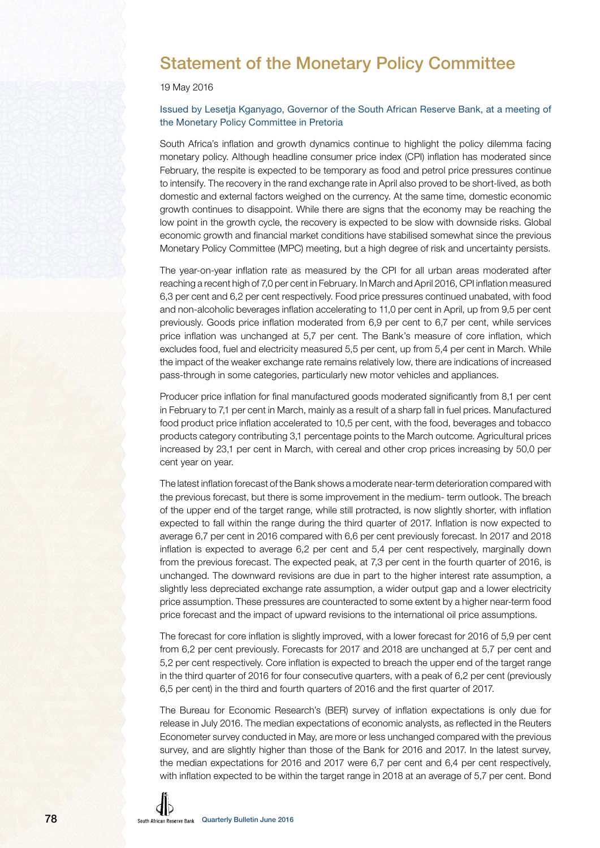

## 19 May 2016

## Issued by Lesetja Kganyago, Governor of the South African Reserve Bank, at a meeting of the Monetary Policy Committee in Pretoria

South Africa's inflation and growth dynamics continue to highlight the policy dilemma facing monetary policy. Although headline consumer price index (CPI) inflation has moderated since February, the respite is expected to be temporary as food and petrol price pressures continue to intensify. The recovery in the rand exchange rate in April also proved to be short-lived, as both domestic and external factors weighed on the currency. At the same time, domestic economic growth continues to disappoint. While there are signs that the economy may be reaching the low point in the growth cycle, the recovery is expected to be slow with downside risks. Global economic growth and financial market conditions have stabilised somewhat since the previous Monetary Policy Committee (MPC) meeting, but a high degree of risk and uncertainty persists.

The year-on-year inflation rate as measured by the CPI for all urban areas moderated after reaching a recent high of 7,0 per cent in February. In March and April 2016, CPI inflation measured 6,3 per cent and 6,2 per cent respectively. Food price pressures continued unabated, with food and non-alcoholic beverages inflation accelerating to 11,0 per cent in April, up from 9,5 per cent previously. Goods price inflation moderated from 6,9 per cent to 6,7 per cent, while services price inflation was unchanged at 5,7 per cent. The Bank's measure of core inflation, which excludes food, fuel and electricity measured 5,5 per cent, up from 5,4 per cent in March. While the impact of the weaker exchange rate remains relatively low, there are indications of increased pass-through in some categories, particularly new motor vehicles and appliances.

Producer price inflation for final manufactured goods moderated significantly from 8,1 per cent in February to 7,1 per cent in March, mainly as a result of a sharp fall in fuel prices. Manufactured food product price inflation accelerated to 10,5 per cent, with the food, beverages and tobacco products category contributing 3,1 percentage points to the March outcome. Agricultural prices increased by 23,1 per cent in March, with cereal and other crop prices increasing by 50,0 per cent year on year.

The latest inflation forecast of the Bank shows a moderate near-term deterioration compared with the previous forecast, but there is some improvement in the medium- term outlook. The breach of the upper end of the target range, while still protracted, is now slightly shorter, with inflation expected to fall within the range during the third quarter of 2017. Inflation is now expected to average 6,7 per cent in 2016 compared with 6,6 per cent previously forecast. In 2017 and 2018 inflation is expected to average 6,2 per cent and 5,4 per cent respectively, marginally down from the previous forecast. The expected peak, at 7,3 per cent in the fourth quarter of 2016, is unchanged. The downward revisions are due in part to the higher interest rate assumption, a slightly less depreciated exchange rate assumption, a wider output gap and a lower electricity price assumption. These pressures are counteracted to some extent by a higher near-term food price forecast and the impact of upward revisions to the international oil price assumptions.

The forecast for core inflation is slightly improved, with a lower forecast for 2016 of 5,9 per cent from 6,2 per cent previously. Forecasts for 2017 and 2018 are unchanged at 5,7 per cent and 5,2 per cent respectively. Core inflation is expected to breach the upper end of the target range in the third quarter of 2016 for four consecutive quarters, with a peak of 6,2 per cent (previously 6,5 per cent) in the third and fourth quarters of 2016 and the first quarter of 2017.

The Bureau for Economic Research's (BER) survey of inflation expectations is only due for release in July 2016. The median expectations of economic analysts, as reflected in the Reuters Econometer survey conducted in May, are more or less unchanged compared with the previous survey, and are slightly higher than those of the Bank for 2016 and 2017. In the latest survey, the median expectations for 2016 and 2017 were 6,7 per cent and 6,4 per cent respectively, with inflation expected to be within the target range in 2018 at an average of 5,7 per cent. Bond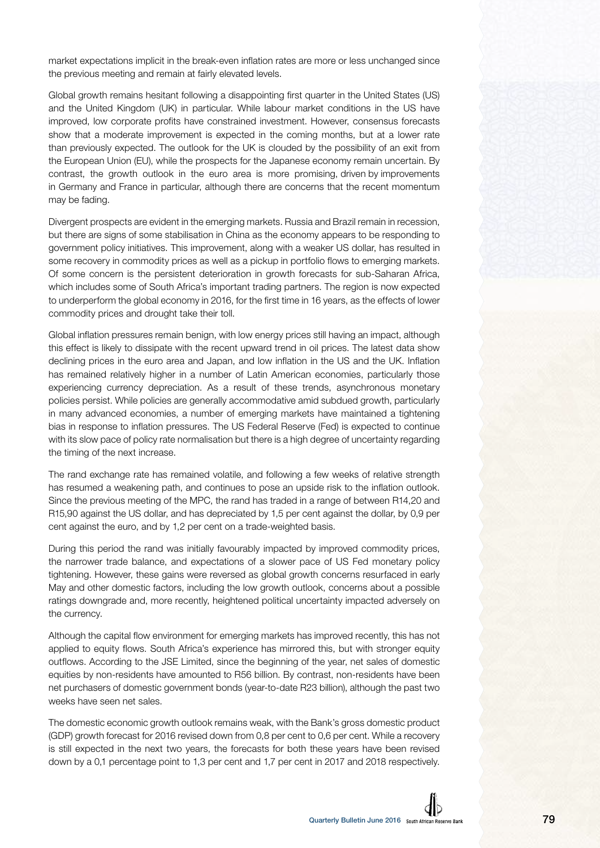market expectations implicit in the break-even inflation rates are more or less unchanged since the previous meeting and remain at fairly elevated levels.

Global growth remains hesitant following a disappointing first quarter in the United States (US) and the United Kingdom (UK) in particular. While labour market conditions in the US have improved, low corporate profits have constrained investment. However, consensus forecasts show that a moderate improvement is expected in the coming months, but at a lower rate than previously expected. The outlook for the UK is clouded by the possibility of an exit from the European Union (EU), while the prospects for the Japanese economy remain uncertain. By contrast, the growth outlook in the euro area is more promising, driven by improvements in Germany and France in particular, although there are concerns that the recent momentum may be fading.

Divergent prospects are evident in the emerging markets. Russia and Brazil remain in recession, but there are signs of some stabilisation in China as the economy appears to be responding to government policy initiatives. This improvement, along with a weaker US dollar, has resulted in some recovery in commodity prices as well as a pickup in portfolio flows to emerging markets. Of some concern is the persistent deterioration in growth forecasts for sub-Saharan Africa, which includes some of South Africa's important trading partners. The region is now expected to underperform the global economy in 2016, for the first time in 16 years, as the effects of lower commodity prices and drought take their toll.

Global inflation pressures remain benign, with low energy prices still having an impact, although this effect is likely to dissipate with the recent upward trend in oil prices. The latest data show declining prices in the euro area and Japan, and low inflation in the US and the UK. Inflation has remained relatively higher in a number of Latin American economies, particularly those experiencing currency depreciation. As a result of these trends, asynchronous monetary policies persist. While policies are generally accommodative amid subdued growth, particularly in many advanced economies, a number of emerging markets have maintained a tightening bias in response to inflation pressures. The US Federal Reserve (Fed) is expected to continue with its slow pace of policy rate normalisation but there is a high degree of uncertainty regarding the timing of the next increase.

The rand exchange rate has remained volatile, and following a few weeks of relative strength has resumed a weakening path, and continues to pose an upside risk to the inflation outlook. Since the previous meeting of the MPC, the rand has traded in a range of between R14,20 and R15,90 against the US dollar, and has depreciated by 1,5 per cent against the dollar, by 0,9 per cent against the euro, and by 1,2 per cent on a trade-weighted basis.

During this period the rand was initially favourably impacted by improved commodity prices, the narrower trade balance, and expectations of a slower pace of US Fed monetary policy tightening. However, these gains were reversed as global growth concerns resurfaced in early May and other domestic factors, including the low growth outlook, concerns about a possible ratings downgrade and, more recently, heightened political uncertainty impacted adversely on the currency.

Although the capital flow environment for emerging markets has improved recently, this has not applied to equity flows. South Africa's experience has mirrored this, but with stronger equity outflows. According to the JSE Limited, since the beginning of the year, net sales of domestic equities by non-residents have amounted to R56 billion. By contrast, non-residents have been net purchasers of domestic government bonds (year-to-date R23 billion), although the past two weeks have seen net sales.

The domestic economic growth outlook remains weak, with the Bank's gross domestic product (GDP) growth forecast for 2016 revised down from 0,8 per cent to 0,6 per cent. While a recovery is still expected in the next two years, the forecasts for both these years have been revised down by a 0,1 percentage point to 1,3 per cent and 1,7 per cent in 2017 and 2018 respectively.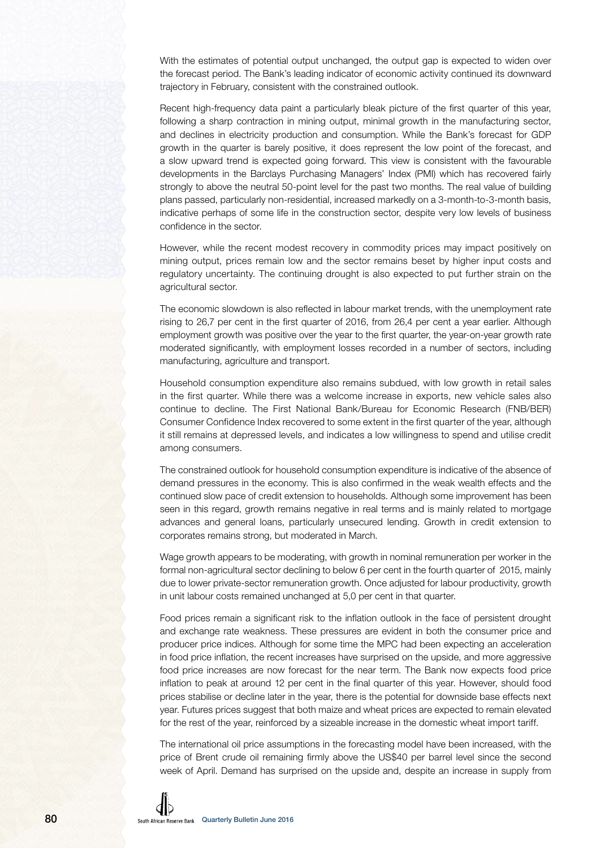With the estimates of potential output unchanged, the output gap is expected to widen over the forecast period. The Bank's leading indicator of economic activity continued its downward trajectory in February, consistent with the constrained outlook.

Recent high-frequency data paint a particularly bleak picture of the first quarter of this year, following a sharp contraction in mining output, minimal growth in the manufacturing sector, and declines in electricity production and consumption. While the Bank's forecast for GDP growth in the quarter is barely positive, it does represent the low point of the forecast, and a slow upward trend is expected going forward. This view is consistent with the favourable developments in the Barclays Purchasing Managers' Index (PMI) which has recovered fairly strongly to above the neutral 50-point level for the past two months. The real value of building plans passed, particularly non-residential, increased markedly on a 3-month-to-3-month basis, indicative perhaps of some life in the construction sector, despite very low levels of business confidence in the sector.

However, while the recent modest recovery in commodity prices may impact positively on mining output, prices remain low and the sector remains beset by higher input costs and regulatory uncertainty. The continuing drought is also expected to put further strain on the agricultural sector.

The economic slowdown is also reflected in labour market trends, with the unemployment rate rising to 26,7 per cent in the first quarter of 2016, from 26,4 per cent a year earlier. Although employment growth was positive over the year to the first quarter, the year-on-year growth rate moderated significantly, with employment losses recorded in a number of sectors, including manufacturing, agriculture and transport.

Household consumption expenditure also remains subdued, with low growth in retail sales in the first quarter. While there was a welcome increase in exports, new vehicle sales also continue to decline. The First National Bank/Bureau for Economic Research (FNB/BER) Consumer Confidence Index recovered to some extent in the first quarter of the year, although it still remains at depressed levels, and indicates a low willingness to spend and utilise credit among consumers.

The constrained outlook for household consumption expenditure is indicative of the absence of demand pressures in the economy. This is also confirmed in the weak wealth effects and the continued slow pace of credit extension to households. Although some improvement has been seen in this regard, growth remains negative in real terms and is mainly related to mortgage advances and general loans, particularly unsecured lending. Growth in credit extension to corporates remains strong, but moderated in March.

Wage growth appears to be moderating, with growth in nominal remuneration per worker in the formal non-agricultural sector declining to below 6 per cent in the fourth quarter of 2015, mainly due to lower private-sector remuneration growth. Once adjusted for labour productivity, growth in unit labour costs remained unchanged at 5,0 per cent in that quarter.

Food prices remain a significant risk to the inflation outlook in the face of persistent drought and exchange rate weakness. These pressures are evident in both the consumer price and producer price indices. Although for some time the MPC had been expecting an acceleration in food price inflation, the recent increases have surprised on the upside, and more aggressive food price increases are now forecast for the near term. The Bank now expects food price inflation to peak at around 12 per cent in the final quarter of this year. However, should food prices stabilise or decline later in the year, there is the potential for downside base effects next year. Futures prices suggest that both maize and wheat prices are expected to remain elevated for the rest of the year, reinforced by a sizeable increase in the domestic wheat import tariff.

The international oil price assumptions in the forecasting model have been increased, with the price of Brent crude oil remaining firmly above the US\$40 per barrel level since the second week of April. Demand has surprised on the upside and, despite an increase in supply from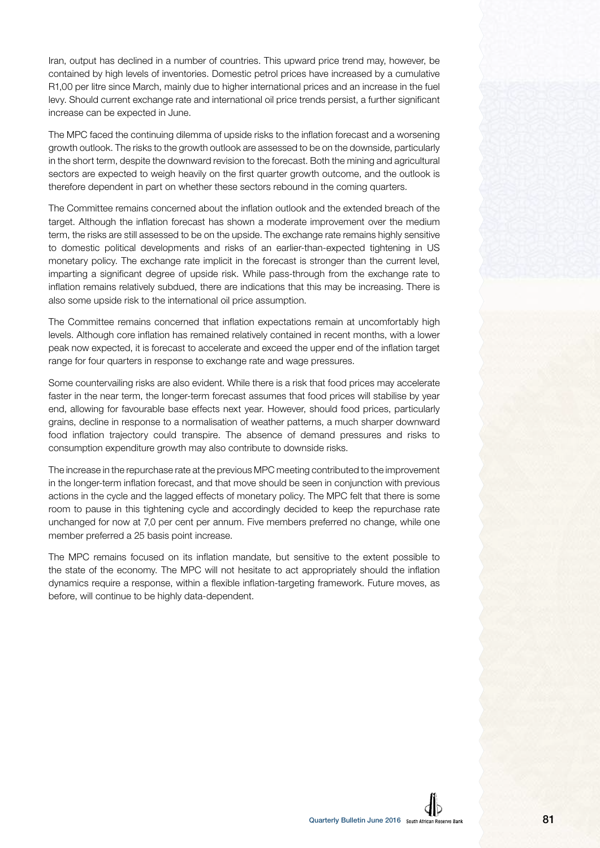Iran, output has declined in a number of countries. This upward price trend may, however, be contained by high levels of inventories. Domestic petrol prices have increased by a cumulative R1,00 per litre since March, mainly due to higher international prices and an increase in the fuel levy. Should current exchange rate and international oil price trends persist, a further significant increase can be expected in June.

The MPC faced the continuing dilemma of upside risks to the inflation forecast and a worsening growth outlook. The risks to the growth outlook are assessed to be on the downside, particularly in the short term, despite the downward revision to the forecast. Both the mining and agricultural sectors are expected to weigh heavily on the first quarter growth outcome, and the outlook is therefore dependent in part on whether these sectors rebound in the coming quarters.

The Committee remains concerned about the inflation outlook and the extended breach of the target. Although the inflation forecast has shown a moderate improvement over the medium term, the risks are still assessed to be on the upside. The exchange rate remains highly sensitive to domestic political developments and risks of an earlier-than-expected tightening in US monetary policy. The exchange rate implicit in the forecast is stronger than the current level, imparting a significant degree of upside risk. While pass-through from the exchange rate to inflation remains relatively subdued, there are indications that this may be increasing. There is also some upside risk to the international oil price assumption.

The Committee remains concerned that inflation expectations remain at uncomfortably high levels. Although core inflation has remained relatively contained in recent months, with a lower peak now expected, it is forecast to accelerate and exceed the upper end of the inflation target range for four quarters in response to exchange rate and wage pressures.

Some countervailing risks are also evident. While there is a risk that food prices may accelerate faster in the near term, the longer-term forecast assumes that food prices will stabilise by year end, allowing for favourable base effects next year. However, should food prices, particularly grains, decline in response to a normalisation of weather patterns, a much sharper downward food inflation trajectory could transpire. The absence of demand pressures and risks to consumption expenditure growth may also contribute to downside risks.

The increase in the repurchase rate at the previous MPC meeting contributed to the improvement in the longer-term inflation forecast, and that move should be seen in conjunction with previous actions in the cycle and the lagged effects of monetary policy. The MPC felt that there is some room to pause in this tightening cycle and accordingly decided to keep the repurchase rate unchanged for now at 7,0 per cent per annum. Five members preferred no change, while one member preferred a 25 basis point increase.

The MPC remains focused on its inflation mandate, but sensitive to the extent possible to the state of the economy. The MPC will not hesitate to act appropriately should the inflation dynamics require a response, within a flexible inflation-targeting framework. Future moves, as before, will continue to be highly data-dependent.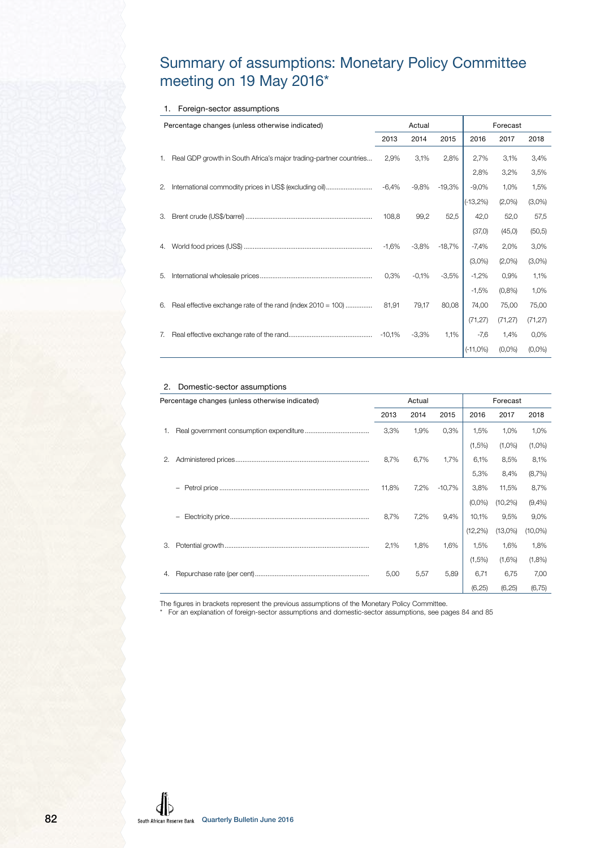# Summary of assumptions: Monetary Policy Committee meeting on 19 May 2016\*

### 1. Foreign-sector assumptions

|    | Percentage changes (unless otherwise indicated)                   |         | Actual  |                    |                                           | Forecast                   |           |
|----|-------------------------------------------------------------------|---------|---------|--------------------|-------------------------------------------|----------------------------|-----------|
|    |                                                                   | 2013    | 2014    | 2015               | 2016                                      | 2017                       | 2018      |
| 1. | Real GDP growth in South Africa's major trading-partner countries | 2,9%    | 3,1%    | 2,8%               | 2,7%                                      | 3,1%                       | 3,4%      |
|    |                                                                   |         |         |                    | 2,8%                                      | 3,2%                       | 3,5%      |
| 2. | International commodity prices in US\$ (excluding oil)            | $-6,4%$ |         | $-9,8\%$ $-19,3\%$ |                                           | $-9,0\%$ 1,0%              | 1,5%      |
|    |                                                                   |         |         |                    | $(-13,2%)$                                | $(2,0\%)$                  | $(3,0\%)$ |
| 3. |                                                                   | 108,8   | 99,2    | 52,5               | 42,0                                      | 52,0                       | 57,5      |
|    |                                                                   |         |         |                    | (37,0)                                    | (45, 0)                    | (50, 5)   |
| 4. |                                                                   |         |         |                    | $-1,6\%$ $-3,8\%$ $-18,7\%$ $-7,4\%$ 2,0% |                            | 3,0%      |
|    |                                                                   |         |         |                    |                                           | $(3,0\%)$ $(2,0\%)$        | $(3,0\%)$ |
| 5. |                                                                   | 0,3%    |         |                    | $-0,1\%$ $-3,5\%$ $-1,2\%$ 0,9%           |                            | 1,1%      |
|    |                                                                   |         |         |                    |                                           | $-1,5\%$ $(0,8\%)$ $1,0\%$ |           |
| 6. | Real effective exchange rate of the rand (index 2010 = 100)       | 81,91   | 79,17   |                    | 80,08 74,00                               | 75,00                      | 75,00     |
|    |                                                                   |         |         |                    | (71, 27)                                  | (71, 27)                   | (71, 27)  |
| 7. |                                                                   |         | $-3,3%$ | $1,1\%$            | $-7,6$ 1,4%                               |                            | 0,0%      |
|    |                                                                   |         |         |                    | $(-11,0\%)$                               | $(0,0\%)$                  | $(0,0\%)$ |

#### 2. Domestic-sector assumptions

|    | Percentage changes (unless otherwise indicated) |       | Actual |           |             | Forecast   |            |
|----|-------------------------------------------------|-------|--------|-----------|-------------|------------|------------|
|    |                                                 | 2013  | 2014   | 2015      | 2016        | 2017       | 2018       |
|    |                                                 | 3,3%  | 1,9%   | 0,3%      | 1,5%        | 1,0%       | 1,0%       |
|    |                                                 |       |        |           | (1,5%)      | $(1,0\%)$  | $(1,0\%)$  |
|    |                                                 | 8,7%  | 6,7%   | 1,7%      |             | 6,1% 8,5%  | 8,1%       |
|    |                                                 |       |        |           | 5,3%        | 8,4%       | (8,7%)     |
|    |                                                 | 11,8% | 7,2%   | $-10,7\%$ | 3,8%        | 11,5%      | 8,7%       |
|    |                                                 |       |        |           | $(0.0\%)$   | $(10,2\%)$ | (9,4%      |
|    |                                                 | 8,7%  | 7,2%   | 9,4%      |             | 10,1% 9,5% | 9,0%       |
|    |                                                 |       |        |           | $(12, 2\%)$ | $(13,0\%)$ | $(10,0\%)$ |
| 3. |                                                 | 2,1%  | 1,8%   | 1,6%      | 1,5%        | 1,6%       | 1,8%       |
|    |                                                 |       |        |           | (1,5%)      | (1,6%)     | (1,8%)     |
|    |                                                 | 5,00  | 5,57   | 5,89      | 6,71        | 6,75       | 7,00       |
|    |                                                 |       |        |           | (6, 25)     | (6,25)     | (6,75)     |

The figures in brackets represent the previous assumptions of the Monetary Policy Committee.

\* For an explanation of foreign-sector assumptions and domestic-sector assumptions, see pages 84 and 85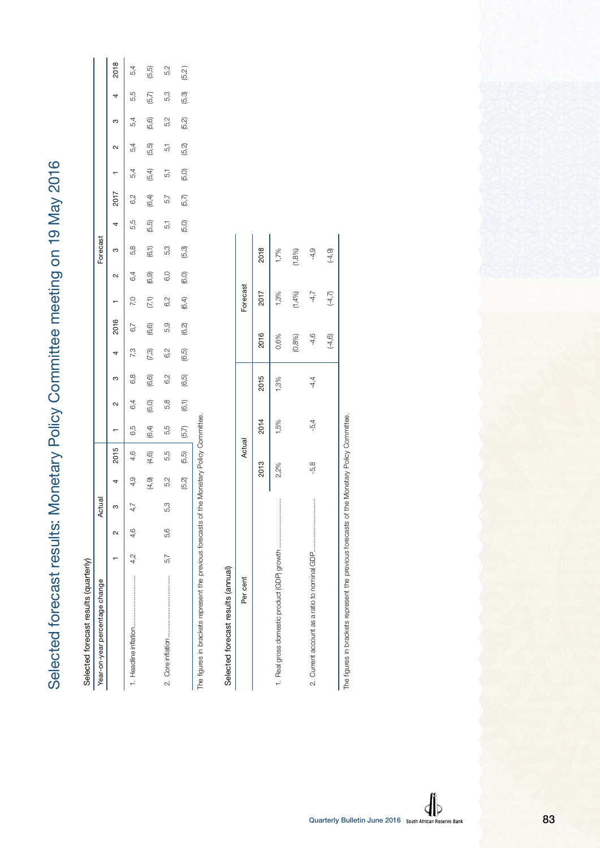| )                                                                      |
|------------------------------------------------------------------------|
|                                                                        |
|                                                                        |
|                                                                        |
|                                                                        |
|                                                                        |
|                                                                        |
|                                                                        |
|                                                                        |
|                                                                        |
|                                                                        |
|                                                                        |
|                                                                        |
|                                                                        |
|                                                                        |
|                                                                        |
|                                                                        |
|                                                                        |
|                                                                        |
|                                                                        |
|                                                                        |
|                                                                        |
|                                                                        |
|                                                                        |
|                                                                        |
|                                                                        |
|                                                                        |
|                                                                        |
|                                                                        |
|                                                                        |
|                                                                        |
|                                                                        |
|                                                                        |
|                                                                        |
|                                                                        |
|                                                                        |
|                                                                        |
|                                                                        |
|                                                                        |
|                                                                        |
|                                                                        |
|                                                                        |
| precast results: Monetary Policy Committee meeting on 19 May 2016<br>J |
|                                                                        |
| j                                                                      |
| I                                                                      |
|                                                                        |
| Í                                                                      |
|                                                                        |
| י<br>(<br>)                                                            |

| Year-on-year percentage change                                                                                                                                                                                                 |         |     | Actual |       |       |        |        |        |       |        |       |       | Forecast |       |        |       |       |       |       |        |
|--------------------------------------------------------------------------------------------------------------------------------------------------------------------------------------------------------------------------------|---------|-----|--------|-------|-------|--------|--------|--------|-------|--------|-------|-------|----------|-------|--------|-------|-------|-------|-------|--------|
|                                                                                                                                                                                                                                |         |     |        | 4     | 2015  |        | $\sim$ | ო      | 4     | 2016   |       | N     | ო        | 4     | 2017   |       | N     | ო     | 4     | 2018   |
|                                                                                                                                                                                                                                | 4,2 4,6 |     | 4,7    | 4,9   | 4,6   | 6,5    | 6,4    | 6,8    | 7,3   | 6,7    | 7,0   | 6,4   | 5,8      | 55    | 6,2    | 5,4   | 5,4   | 5,4   | 5,5   | 5,4    |
|                                                                                                                                                                                                                                |         |     |        | (4,9) | (4,6) | (6, 4) | (6,0)  | (6, 6) | (7.3) | (6, 6) | (7,1) | (6.9) | (6,1)    | (5,5) | (6, 4) | (5,4) | (5,5) | (5,6) | (5,7) | (5,5)  |
|                                                                                                                                                                                                                                | 5,7     | 5.6 | 53     | 5,2   | 5,5   | 5,5    | 5,8    | 6,2    | 6,2   | 5,9    | 6,2   | 6,0   | 5,3      | 5,1   | 5,7    | 5     | 5     | 5,2   | 5,3   | 5,2    |
|                                                                                                                                                                                                                                |         |     |        | (5,2) | (5,5) | (5,7)  | (6,1)  | (6,5)  | (6,5) | (6,2)  | (6.4) | (6,0) | (5.3)    | (5,0) | (5,7)  | (5,0) | (5,2) | (5,2) | (5.3) | (5, 2) |
| contractor C . visit C . The first contractor of the first contractor contractor contractor of the first contractor of the first contractor of the contractor of the contractor of the contractor of the contractor of the con |         |     |        |       |       |        |        |        |       |        |       |       |          |       |        |       |       |       |       |        |

The figures in brackets represent the previous forecasts of the Monetary Policy Committee.ğ ģ  $\frac{1}{2}$ 

# Selected forecast results (annual) Selected forecast results (annual)

| Per cent | Actual |        |        |           | Forecast |           |
|----------|--------|--------|--------|-----------|----------|-----------|
|          | 2013   | 2014   | 2015   | 2016      | 2017     | 2018      |
|          | 2,2%   | 1,5%   | 1,3%   | 0,6%      | 1,3%     | 1,7%      |
|          |        |        |        | (0,8%     | (1,4%)   | $(1,8\%)$ |
|          | -5,8   | $-5.4$ | $-4,4$ | $-4,6$    | $-4,7$   | $-4,9$    |
|          |        |        |        | $(-4, 6)$ | (4,7)    | $(-4, 9)$ |

The figures in brackets represent the previous forecasts of the Monetary Policy Committee. The figures in brackets represent the previous forecasts of the Monetary Policy Committee.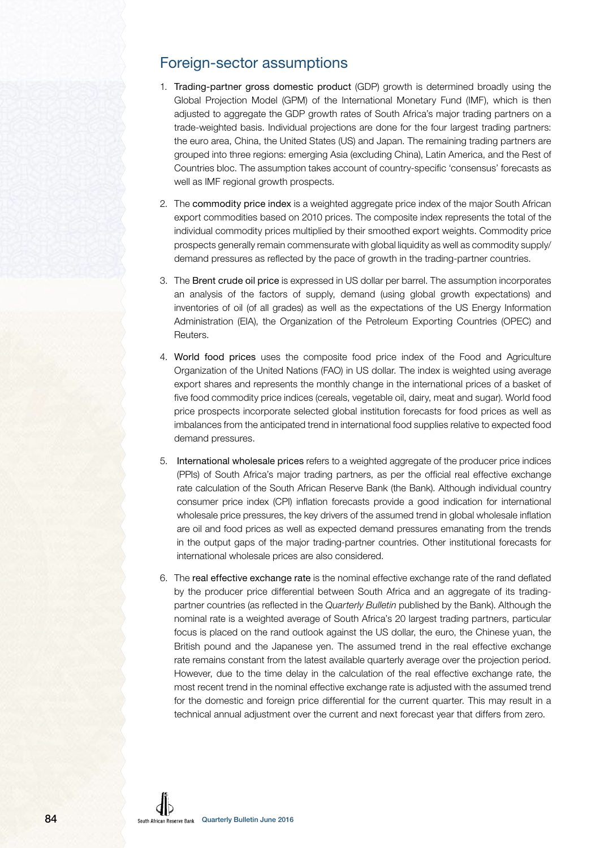

# Foreign-sector assumptions

- 1. Trading-partner gross domestic product (GDP) growth is determined broadly using the Global Projection Model (GPM) of the International Monetary Fund (IMF), which is then adjusted to aggregate the GDP growth rates of South Africa's major trading partners on a trade-weighted basis. Individual projections are done for the four largest trading partners: the euro area, China, the United States (US) and Japan. The remaining trading partners are grouped into three regions: emerging Asia (excluding China), Latin America, and the Rest of Countries bloc. The assumption takes account of country-specific 'consensus' forecasts as well as IMF regional growth prospects.
- 2. The commodity price index is a weighted aggregate price index of the major South African export commodities based on 2010 prices. The composite index represents the total of the individual commodity prices multiplied by their smoothed export weights. Commodity price prospects generally remain commensurate with global liquidity as well as commodity supply/ demand pressures as reflected by the pace of growth in the trading-partner countries.
- 3. The Brent crude oil price is expressed in US dollar per barrel. The assumption incorporates an analysis of the factors of supply, demand (using global growth expectations) and inventories of oil (of all grades) as well as the expectations of the US Energy Information Administration (EIA), the Organization of the Petroleum Exporting Countries (OPEC) and Reuters.
- 4. World food prices uses the composite food price index of the Food and Agriculture Organization of the United Nations (FAO) in US dollar. The index is weighted using average export shares and represents the monthly change in the international prices of a basket of five food commodity price indices (cereals, vegetable oil, dairy, meat and sugar). World food price prospects incorporate selected global institution forecasts for food prices as well as imbalances from the anticipated trend in international food supplies relative to expected food demand pressures.
- 5. International wholesale prices refers to a weighted aggregate of the producer price indices (PPIs) of South Africa's major trading partners, as per the official real effective exchange rate calculation of the South African Reserve Bank (the Bank). Although individual country consumer price index (CPI) inflation forecasts provide a good indication for international wholesale price pressures, the key drivers of the assumed trend in global wholesale inflation are oil and food prices as well as expected demand pressures emanating from the trends in the output gaps of the major trading-partner countries. Other institutional forecasts for international wholesale prices are also considered.
- 6. The real effective exchange rate is the nominal effective exchange rate of the rand deflated by the producer price differential between South Africa and an aggregate of its tradingpartner countries (as reflected in the Quarterly Bulletin published by the Bank). Although the nominal rate is a weighted average of South Africa's 20 largest trading partners, particular focus is placed on the rand outlook against the US dollar, the euro, the Chinese yuan, the British pound and the Japanese yen. The assumed trend in the real effective exchange rate remains constant from the latest available quarterly average over the projection period. However, due to the time delay in the calculation of the real effective exchange rate, the most recent trend in the nominal effective exchange rate is adjusted with the assumed trend for the domestic and foreign price differential for the current quarter. This may result in a technical annual adjustment over the current and next forecast year that differs from zero.